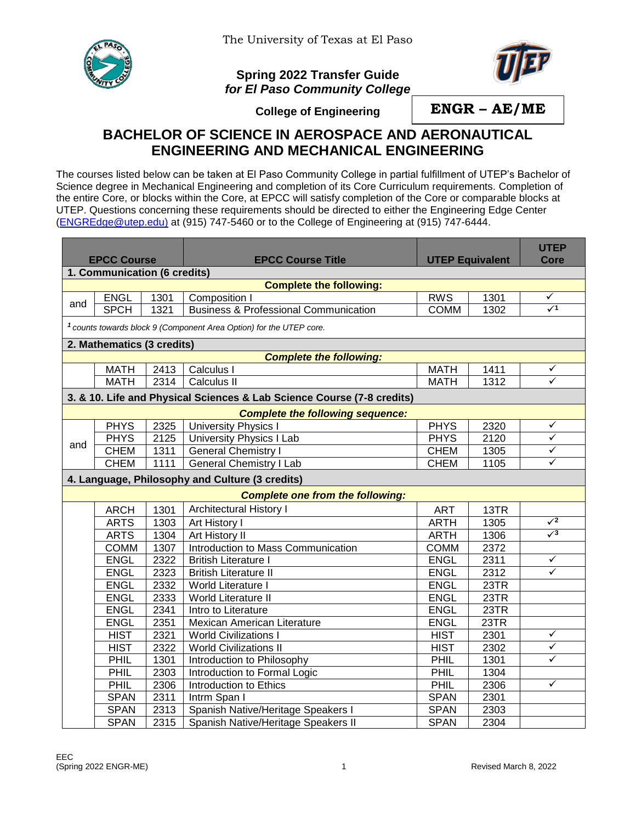

## **Spring 2022 Transfer Guide** *for El Paso Community College*



**College of Engineering**

**ENGR – AE/ME**

## **BACHELOR OF SCIENCE IN AEROSPACE AND AERONAUTICAL ENGINEERING AND MECHANICAL ENGINEERING**

The courses listed below can be taken at El Paso Community College in partial fulfillment of UTEP's Bachelor of Science degree in Mechanical Engineering and completion of its Core Curriculum requirements. Completion of the entire Core, or blocks within the Core, at EPCC will satisfy completion of the Core or comparable blocks at UTEP. Questions concerning these requirements should be directed to either the Engineering Edge Center [\(ENGREdge@utep.edu\)](mailto:ENGREdge@utep.edu) at (915) 747-5460 or to the College of Engineering at (915) 747-6444.

| <b>EPCC Course</b>                                             |                                                                                |      | <b>EPCC Course Title</b>                                               | <b>UTEP Equivalent</b> |      | <b>UTEP</b><br><b>Core</b> |  |  |  |  |
|----------------------------------------------------------------|--------------------------------------------------------------------------------|------|------------------------------------------------------------------------|------------------------|------|----------------------------|--|--|--|--|
|                                                                |                                                                                |      |                                                                        |                        |      |                            |  |  |  |  |
| 1. Communication (6 credits)<br><b>Complete the following:</b> |                                                                                |      |                                                                        |                        |      |                            |  |  |  |  |
| and                                                            | <b>ENGL</b>                                                                    | 1301 | Composition I                                                          | <b>RWS</b>             | 1301 | ✓                          |  |  |  |  |
|                                                                | <b>SPCH</b>                                                                    | 1321 | <b>Business &amp; Professional Communication</b>                       | <b>COMM</b>            | 1302 | $\sqrt{1}$                 |  |  |  |  |
|                                                                | <sup>1</sup> counts towards block 9 (Component Area Option) for the UTEP core. |      |                                                                        |                        |      |                            |  |  |  |  |
|                                                                | 2. Mathematics (3 credits)                                                     |      |                                                                        |                        |      |                            |  |  |  |  |
|                                                                |                                                                                |      | <b>Complete the following:</b>                                         |                        |      |                            |  |  |  |  |
|                                                                | <b>MATH</b>                                                                    | 2413 | Calculus I                                                             | <b>MATH</b>            | 1411 | ✓                          |  |  |  |  |
|                                                                | <b>MATH</b>                                                                    | 2314 | Calculus II                                                            | <b>MATH</b>            | 1312 | ✓                          |  |  |  |  |
|                                                                |                                                                                |      | 3. & 10. Life and Physical Sciences & Lab Science Course (7-8 credits) |                        |      |                            |  |  |  |  |
|                                                                |                                                                                |      | <b>Complete the following sequence:</b>                                |                        |      |                            |  |  |  |  |
|                                                                | <b>PHYS</b>                                                                    | 2325 | <b>University Physics I</b>                                            | <b>PHYS</b>            | 2320 | ✓                          |  |  |  |  |
|                                                                | <b>PHYS</b>                                                                    | 2125 | <b>University Physics I Lab</b>                                        | <b>PHYS</b>            | 2120 | ✓                          |  |  |  |  |
| and                                                            | <b>CHEM</b>                                                                    | 1311 | <b>General Chemistry I</b>                                             | <b>CHEM</b>            | 1305 | $\checkmark$               |  |  |  |  |
|                                                                | <b>CHEM</b>                                                                    | 1111 | <b>General Chemistry I Lab</b>                                         | <b>CHEM</b>            | 1105 | ✓                          |  |  |  |  |
|                                                                |                                                                                |      |                                                                        |                        |      |                            |  |  |  |  |
|                                                                |                                                                                |      | 4. Language, Philosophy and Culture (3 credits)                        |                        |      |                            |  |  |  |  |
|                                                                |                                                                                |      | <b>Complete one from the following:</b>                                |                        |      |                            |  |  |  |  |
|                                                                | <b>ARCH</b>                                                                    | 1301 | Architectural History I                                                | <b>ART</b>             | 13TR |                            |  |  |  |  |
|                                                                | <b>ARTS</b>                                                                    | 1303 | Art History I                                                          | <b>ARTH</b>            | 1305 | $\sqrt{2}$                 |  |  |  |  |
|                                                                | <b>ARTS</b>                                                                    | 1304 | <b>Art History II</b>                                                  | <b>ARTH</b>            | 1306 | $\sqrt{3}$                 |  |  |  |  |
|                                                                | <b>COMM</b>                                                                    | 1307 | Introduction to Mass Communication                                     | <b>COMM</b>            | 2372 |                            |  |  |  |  |
|                                                                | <b>ENGL</b>                                                                    | 2322 | <b>British Literature I</b>                                            | <b>ENGL</b>            | 2311 | $\checkmark$               |  |  |  |  |
|                                                                | <b>ENGL</b>                                                                    | 2323 | <b>British Literature II</b>                                           | <b>ENGL</b>            | 2312 | $\checkmark$               |  |  |  |  |
|                                                                | <b>ENGL</b>                                                                    | 2332 | World Literature I                                                     | <b>ENGL</b>            | 23TR |                            |  |  |  |  |
|                                                                | <b>ENGL</b>                                                                    | 2333 | World Literature II                                                    | <b>ENGL</b>            | 23TR |                            |  |  |  |  |
|                                                                | <b>ENGL</b>                                                                    | 2341 | Intro to Literature                                                    | <b>ENGL</b>            | 23TR |                            |  |  |  |  |
|                                                                | <b>ENGL</b>                                                                    | 2351 | Mexican American Literature                                            | <b>ENGL</b>            | 23TR |                            |  |  |  |  |
|                                                                | <b>HIST</b>                                                                    | 2321 | <b>World Civilizations I</b>                                           | <b>HIST</b>            | 2301 | $\checkmark$               |  |  |  |  |
|                                                                | <b>HIST</b>                                                                    | 2322 | <b>World Civilizations II</b>                                          | <b>HIST</b>            | 2302 | ✓                          |  |  |  |  |
|                                                                | PHIL                                                                           | 1301 | Introduction to Philosophy                                             | PHIL                   | 1301 | ✓                          |  |  |  |  |
|                                                                | PHIL                                                                           | 2303 | Introduction to Formal Logic                                           | PHIL                   | 1304 |                            |  |  |  |  |
|                                                                | <b>PHIL</b>                                                                    | 2306 | Introduction to Ethics                                                 | <b>PHIL</b>            | 2306 | ✓                          |  |  |  |  |
|                                                                | <b>SPAN</b>                                                                    | 2311 | Intrm Span I                                                           | <b>SPAN</b>            | 2301 |                            |  |  |  |  |
|                                                                | <b>SPAN</b>                                                                    | 2313 | Spanish Native/Heritage Speakers I                                     | <b>SPAN</b>            | 2303 |                            |  |  |  |  |
|                                                                | <b>SPAN</b>                                                                    | 2315 | Spanish Native/Heritage Speakers II                                    | <b>SPAN</b>            | 2304 |                            |  |  |  |  |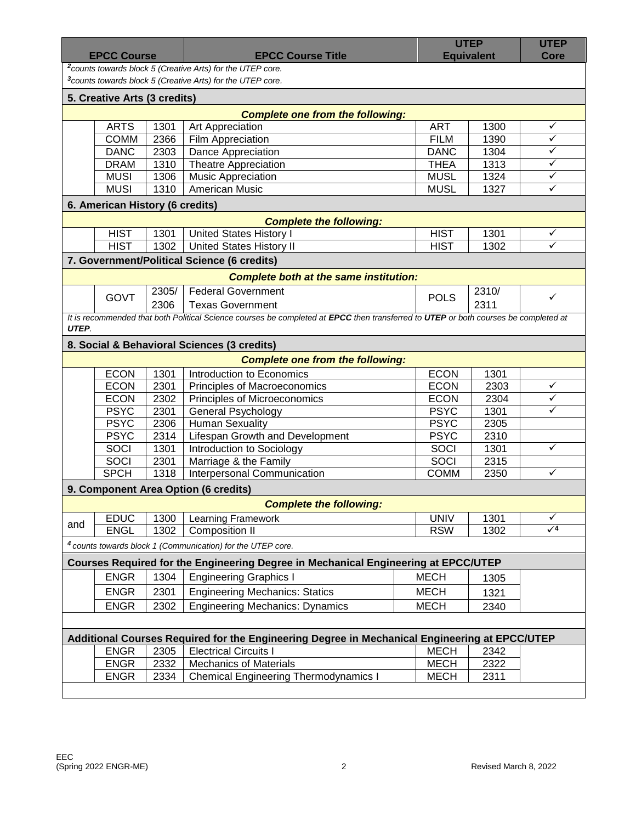| <b>EPCC Course</b> |                                 |       | <b>EPCC Course Title</b>                                                                                                            |             | <b>UTEP</b><br><b>Equivalent</b> |              |
|--------------------|---------------------------------|-------|-------------------------------------------------------------------------------------------------------------------------------------|-------------|----------------------------------|--------------|
|                    |                                 |       | <sup>2</sup> counts towards block 5 (Creative Arts) for the UTEP core.                                                              |             |                                  | <b>Core</b>  |
|                    |                                 |       | <sup>3</sup> counts towards block 5 (Creative Arts) for the UTEP core.                                                              |             |                                  |              |
|                    | 5. Creative Arts (3 credits)    |       |                                                                                                                                     |             |                                  |              |
|                    |                                 |       | <b>Complete one from the following:</b>                                                                                             |             |                                  |              |
|                    | <b>ARTS</b>                     | 1301  | Art Appreciation                                                                                                                    | <b>ART</b>  | 1300                             | $\checkmark$ |
|                    | <b>COMM</b>                     | 2366  | Film Appreciation                                                                                                                   | <b>FILM</b> | 1390                             | $\checkmark$ |
|                    | <b>DANC</b>                     | 2303  | Dance Appreciation                                                                                                                  | <b>DANC</b> | 1304                             | $\checkmark$ |
|                    | <b>DRAM</b>                     | 1310  | <b>Theatre Appreciation</b>                                                                                                         | <b>THEA</b> | 1313                             | $\checkmark$ |
|                    | <b>MUSI</b>                     | 1306  | <b>Music Appreciation</b>                                                                                                           | <b>MUSL</b> | 1324                             | $\checkmark$ |
|                    | <b>MUSI</b>                     | 1310  | <b>American Music</b>                                                                                                               | <b>MUSL</b> | 1327                             | ✓            |
|                    | 6. American History (6 credits) |       |                                                                                                                                     |             |                                  |              |
|                    |                                 |       | <b>Complete the following:</b>                                                                                                      |             |                                  |              |
|                    | <b>HIST</b>                     | 1301  | <b>United States History I</b>                                                                                                      | <b>HIST</b> | 1301                             | ✓            |
|                    | <b>HIST</b>                     | 1302  | <b>United States History II</b>                                                                                                     | <b>HIST</b> | 1302                             | ✓            |
|                    |                                 |       | 7. Government/Political Science (6 credits)                                                                                         |             |                                  |              |
|                    |                                 |       |                                                                                                                                     |             |                                  |              |
|                    |                                 |       | <b>Complete both at the same institution:</b>                                                                                       |             |                                  |              |
|                    | <b>GOVT</b>                     | 2305/ | <b>Federal Government</b>                                                                                                           | <b>POLS</b> | 2310/                            | ✓            |
|                    |                                 | 2306  | <b>Texas Government</b>                                                                                                             |             | 2311                             |              |
|                    |                                 |       | It is recommended that both Political Science courses be completed at EPCC then transferred to UTEP or both courses be completed at |             |                                  |              |
| UTEP.              |                                 |       |                                                                                                                                     |             |                                  |              |
|                    |                                 |       | 8. Social & Behavioral Sciences (3 credits)                                                                                         |             |                                  |              |
|                    |                                 |       | <b>Complete one from the following:</b>                                                                                             |             |                                  |              |
|                    | <b>ECON</b>                     | 1301  | Introduction to Economics                                                                                                           | <b>ECON</b> | 1301                             |              |
|                    |                                 |       |                                                                                                                                     |             |                                  |              |
|                    | <b>ECON</b>                     | 2301  | Principles of Macroeconomics                                                                                                        | <b>ECON</b> | 2303                             | ✓            |
|                    | <b>ECON</b>                     | 2302  | Principles of Microeconomics                                                                                                        | <b>ECON</b> | 2304                             | ✓            |
|                    | <b>PSYC</b>                     | 2301  | <b>General Psychology</b>                                                                                                           | <b>PSYC</b> | 1301                             | ✓            |
|                    | <b>PSYC</b>                     | 2306  | <b>Human Sexuality</b>                                                                                                              | <b>PSYC</b> | 2305                             |              |
|                    | <b>PSYC</b>                     | 2314  | Lifespan Growth and Development                                                                                                     | <b>PSYC</b> | 2310                             |              |
|                    | SOCI                            | 1301  | Introduction to Sociology                                                                                                           | SOCI        | 1301                             | ✓            |
|                    | <b>SOCI</b>                     | 2301  | Marriage & the Family                                                                                                               | SOCI        | 2315                             |              |
|                    | <b>SPCH</b>                     | 1318  | Interpersonal Communication                                                                                                         | <b>COMM</b> | 2350                             | ✓            |
|                    |                                 |       | 9. Component Area Option (6 credits)                                                                                                |             |                                  |              |
|                    |                                 |       | <b>Complete the following:</b>                                                                                                      |             |                                  |              |
|                    | <b>EDUC</b>                     | 1300  | Learning Framework                                                                                                                  | <b>UNIV</b> | 1301                             | ✓            |
|                    | <b>ENGL</b>                     | 1302  | <b>Composition II</b>                                                                                                               | <b>RSW</b>  | 1302                             | $\sqrt{4}$   |
|                    |                                 |       | <sup>4</sup> counts towards block 1 (Communication) for the UTEP core.                                                              |             |                                  |              |
|                    |                                 |       |                                                                                                                                     |             |                                  |              |
|                    |                                 |       | Courses Required for the Engineering Degree in Mechanical Engineering at EPCC/UTEP                                                  |             |                                  |              |
|                    | <b>ENGR</b>                     | 1304  | <b>Engineering Graphics I</b>                                                                                                       | <b>MECH</b> | 1305                             |              |
|                    | <b>ENGR</b>                     | 2301  | <b>Engineering Mechanics: Statics</b>                                                                                               | <b>MECH</b> | 1321                             |              |
|                    | <b>ENGR</b>                     | 2302  | <b>Engineering Mechanics: Dynamics</b>                                                                                              | <b>MECH</b> | 2340                             |              |
|                    |                                 |       |                                                                                                                                     |             |                                  |              |
|                    |                                 |       | Additional Courses Required for the Engineering Degree in Mechanical Engineering at EPCC/UTEP                                       |             |                                  |              |
|                    | <b>ENGR</b>                     | 2305  | <b>Electrical Circuits I</b>                                                                                                        | <b>MECH</b> | 2342                             |              |
| and                | <b>ENGR</b>                     | 2332  | <b>Mechanics of Materials</b>                                                                                                       | <b>MECH</b> | 2322                             |              |